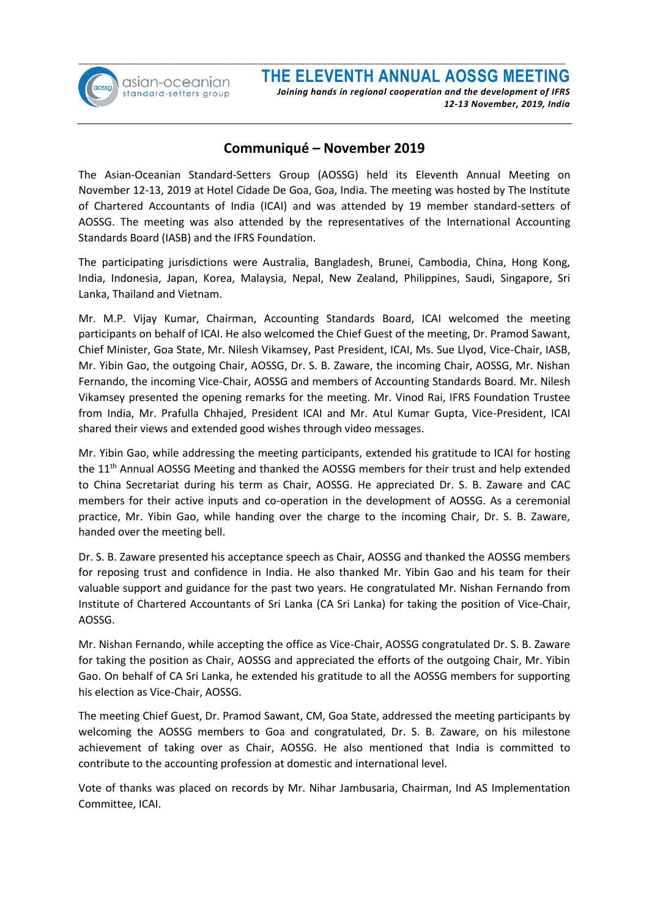

#### **Communiqué – November 2019**

The Asian-Oceanian Standard-Setters Group (AOSSG) held its Eleventh Annual Meeting on November 12-13, 2019 at Hotel Cidade De Goa, Goa, India. The meeting was hosted by The Institute of Chartered Accountants of India (ICAI) and was attended by 19 member standard-setters of AOSSG. The meeting was also attended by the representatives of the International Accounting Standards Board (IASB) and the IFRS Foundation.

The participating jurisdictions were Australia, Bangladesh, Brunei, Cambodia, China, Hong Kong, India, Indonesia, Japan, Korea, Malaysia, Nepal, New Zealand, Philippines, Saudi, Singapore, Sri Lanka, Thailand and Vietnam.

Mr. M.P. Vijay Kumar, Chairman, Accounting Standards Board, ICAI welcomed the meeting participants on behalf of ICAI. He also welcomed the Chief Guest of the meeting, Dr. Pramod Sawant, Chief Minister, Goa State, Mr. Nilesh Vikamsey, Past President, ICAI, Ms. Sue Llyod, Vice-Chair, IASB, Mr. Yibin Gao, the outgoing Chair, AOSSG, Dr. S. B. Zaware, the incoming Chair, AOSSG, Mr. Nishan Fernando, the incoming Vice-Chair, AOSSG and members of Accounting Standards Board. Mr. Nilesh Vikamsey presented the opening remarks for the meeting. Mr. Vinod Rai, IFRS Foundation Trustee from India, Mr. Prafulla Chhajed, President ICAI and Mr. Atul Kumar Gupta, Vice-President, ICAI shared their views and extended good wishes through video messages.

Mr. Yibin Gao, while addressing the meeting participants, extended his gratitude to ICAI for hosting the 11th Annual AOSSG Meeting and thanked the AOSSG members for their trust and help extended to China Secretariat during his term as Chair, AOSSG. He appreciated Dr. S. B. Zaware and CAC members for their active inputs and co-operation in the development of AOSSG. As a ceremonial practice, Mr. Yibin Gao, while handing over the charge to the incoming Chair, Dr. S. B. Zaware, handed over the meeting bell.

Dr. S. B. Zaware presented his acceptance speech as Chair, AOSSG and thanked the AOSSG members for reposing trust and confidence in India. He also thanked Mr. Yibin Gao and his team for their valuable support and guidance for the past two years. He congratulated Mr. Nishan Fernando from Institute of Chartered Accountants of Sri Lanka (CA Sri Lanka) for taking the position of Vice-Chair, AOSSG.

Mr. Nishan Fernando, while accepting the office as Vice-Chair, AOSSG congratulated Dr. S. B. Zaware for taking the position as Chair, AOSSG and appreciated the efforts of the outgoing Chair, Mr. Yibin Gao. On behalf of CA Sri Lanka, he extended his gratitude to all the AOSSG members for supporting his election as Vice-Chair, AOSSG.

The meeting Chief Guest, Dr. Pramod Sawant, CM, Goa State, addressed the meeting participants by welcoming the AOSSG members to Goa and congratulated, Dr. S. B. Zaware, on his milestone achievement of taking over as Chair, AOSSG. He also mentioned that India is committed to contribute to the accounting profession at domestic and international level.

Vote of thanks was placed on records by Mr. Nihar Jambusaria, Chairman, Ind AS Implementation Committee, ICAI.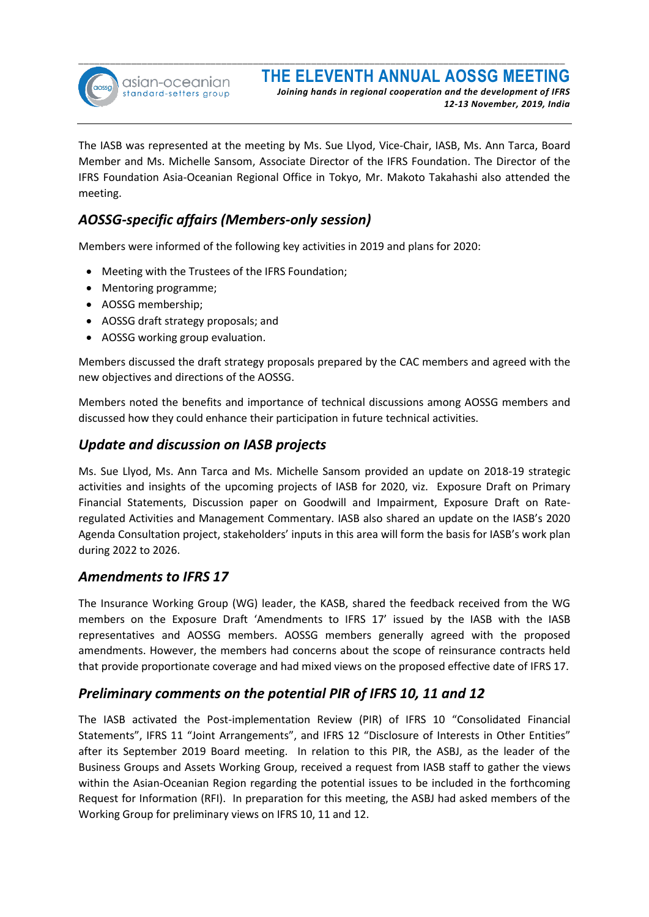

The IASB was represented at the meeting by Ms. Sue Llyod, Vice-Chair, IASB, Ms. Ann Tarca, Board Member and Ms. Michelle Sansom, Associate Director of the IFRS Foundation. The Director of the IFRS Foundation Asia-Oceanian Regional Office in Tokyo, Mr. Makoto Takahashi also attended the meeting.

## *AOSSG-specific affairs (Members-only session)*

Members were informed of the following key activities in 2019 and plans for 2020:

- Meeting with the Trustees of the IFRS Foundation;
- Mentoring programme;
- AOSSG membership;
- AOSSG draft strategy proposals; and
- AOSSG working group evaluation.

Members discussed the draft strategy proposals prepared by the CAC members and agreed with the new objectives and directions of the AOSSG.

Members noted the benefits and importance of technical discussions among AOSSG members and discussed how they could enhance their participation in future technical activities.

#### *Update and discussion on IASB projects*

Ms. Sue Llyod, Ms. Ann Tarca and Ms. Michelle Sansom provided an update on 2018-19 strategic activities and insights of the upcoming projects of IASB for 2020, viz. Exposure Draft on Primary Financial Statements, Discussion paper on Goodwill and Impairment, Exposure Draft on Rateregulated Activities and Management Commentary. IASB also shared an update on the IASB's 2020 Agenda Consultation project, stakeholders' inputs in this area will form the basis for IASB's work plan during 2022 to 2026.

#### *Amendments to IFRS 17*

The Insurance Working Group (WG) leader, the KASB, shared the feedback received from the WG members on the Exposure Draft 'Amendments to IFRS 17' issued by the IASB with the IASB representatives and AOSSG members. AOSSG members generally agreed with the proposed amendments. However, the members had concerns about the scope of reinsurance contracts held that provide proportionate coverage and had mixed views on the proposed effective date of IFRS 17.

#### *Preliminary comments on the potential PIR of IFRS 10, 11 and 12*

The IASB activated the Post-implementation Review (PIR) of IFRS 10 "Consolidated Financial Statements", IFRS 11 "Joint Arrangements", and IFRS 12 "Disclosure of Interests in Other Entities" after its September 2019 Board meeting. In relation to this PIR, the ASBJ, as the leader of the Business Groups and Assets Working Group, received a request from IASB staff to gather the views within the Asian-Oceanian Region regarding the potential issues to be included in the forthcoming Request for Information (RFI). In preparation for this meeting, the ASBJ had asked members of the Working Group for preliminary views on IFRS 10, 11 and 12.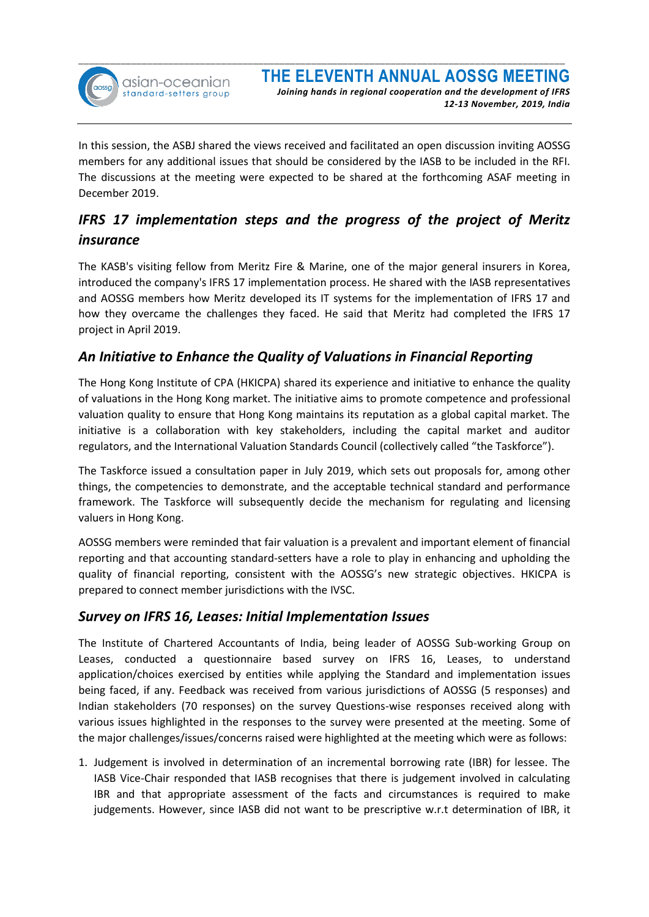

In this session, the ASBJ shared the views received and facilitated an open discussion inviting AOSSG members for any additional issues that should be considered by the IASB to be included in the RFI. The discussions at the meeting were expected to be shared at the forthcoming ASAF meeting in December 2019.

# *IFRS 17 implementation steps and the progress of the project of Meritz insurance*

The KASB's visiting fellow from Meritz Fire & Marine, one of the major general insurers in Korea, introduced the company's IFRS 17 implementation process. He shared with the IASB representatives and AOSSG members how Meritz developed its IT systems for the implementation of IFRS 17 and how they overcame the challenges they faced. He said that Meritz had completed the IFRS 17 project in April 2019.

## *An Initiative to Enhance the Quality of Valuations in Financial Reporting*

The Hong Kong Institute of CPA (HKICPA) shared its experience and initiative to enhance the quality of valuations in the Hong Kong market. The initiative aims to promote competence and professional valuation quality to ensure that Hong Kong maintains its reputation as a global capital market. The initiative is a collaboration with key stakeholders, including the capital market and auditor regulators, and the International Valuation Standards Council (collectively called "the Taskforce").

The Taskforce issued a consultation paper in July 2019, which sets out proposals for, among other things, the competencies to demonstrate, and the acceptable technical standard and performance framework. The Taskforce will subsequently decide the mechanism for regulating and licensing valuers in Hong Kong.

AOSSG members were reminded that fair valuation is a prevalent and important element of financial reporting and that accounting standard-setters have a role to play in enhancing and upholding the quality of financial reporting, consistent with the AOSSG's new strategic objectives. HKICPA is prepared to connect member jurisdictions with the IVSC.

## *Survey on IFRS 16, Leases: Initial Implementation Issues*

The Institute of Chartered Accountants of India, being leader of AOSSG Sub-working Group on Leases, conducted a questionnaire based survey on IFRS 16, Leases, to understand application/choices exercised by entities while applying the Standard and implementation issues being faced, if any. Feedback was received from various jurisdictions of AOSSG (5 responses) and Indian stakeholders (70 responses) on the survey Questions-wise responses received along with various issues highlighted in the responses to the survey were presented at the meeting. Some of the major challenges/issues/concerns raised were highlighted at the meeting which were as follows:

1. Judgement is involved in determination of an incremental borrowing rate (IBR) for lessee. The IASB Vice-Chair responded that IASB recognises that there is judgement involved in calculating IBR and that appropriate assessment of the facts and circumstances is required to make judgements. However, since IASB did not want to be prescriptive w.r.t determination of IBR, it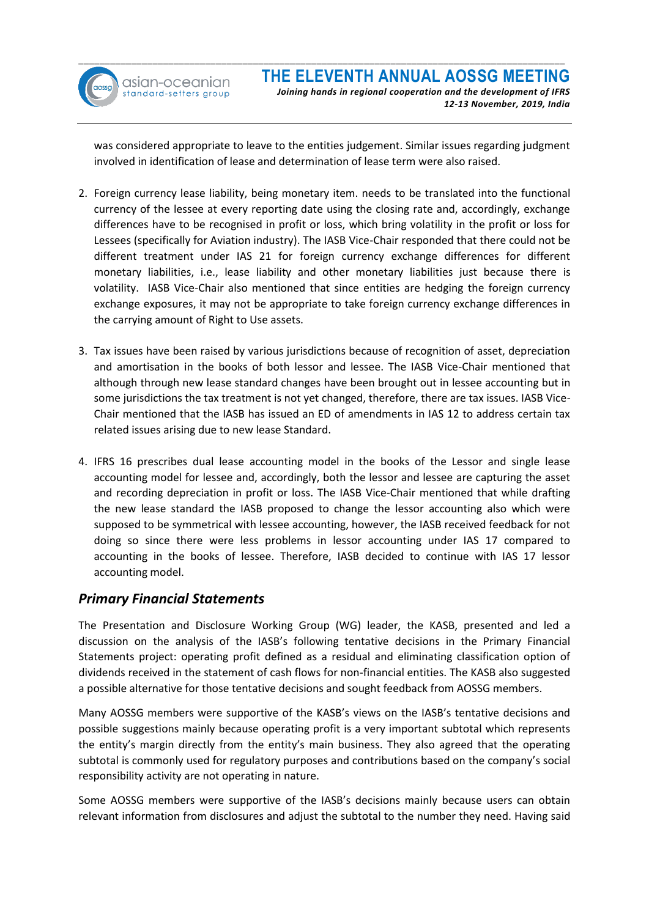

was considered appropriate to leave to the entities judgement. Similar issues regarding judgment involved in identification of lease and determination of lease term were also raised.

- 2. Foreign currency lease liability, being monetary item. needs to be translated into the functional currency of the lessee at every reporting date using the closing rate and, accordingly, exchange differences have to be recognised in profit or loss, which bring volatility in the profit or loss for Lessees (specifically for Aviation industry). The IASB Vice-Chair responded that there could not be different treatment under IAS 21 for foreign currency exchange differences for different monetary liabilities, i.e., lease liability and other monetary liabilities just because there is volatility. IASB Vice-Chair also mentioned that since entities are hedging the foreign currency exchange exposures, it may not be appropriate to take foreign currency exchange differences in the carrying amount of Right to Use assets.
- 3. Tax issues have been raised by various jurisdictions because of recognition of asset, depreciation and amortisation in the books of both lessor and lessee. The IASB Vice-Chair mentioned that although through new lease standard changes have been brought out in lessee accounting but in some jurisdictions the tax treatment is not yet changed, therefore, there are tax issues. IASB Vice-Chair mentioned that the IASB has issued an ED of amendments in IAS 12 to address certain tax related issues arising due to new lease Standard.
- 4. IFRS 16 prescribes dual lease accounting model in the books of the Lessor and single lease accounting model for lessee and, accordingly, both the lessor and lessee are capturing the asset and recording depreciation in profit or loss. The IASB Vice-Chair mentioned that while drafting the new lease standard the IASB proposed to change the lessor accounting also which were supposed to be symmetrical with lessee accounting, however, the IASB received feedback for not doing so since there were less problems in lessor accounting under IAS 17 compared to accounting in the books of lessee. Therefore, IASB decided to continue with IAS 17 lessor accounting model.

## *Primary Financial Statements*

The Presentation and Disclosure Working Group (WG) leader, the KASB, presented and led a discussion on the analysis of the IASB's following tentative decisions in the Primary Financial Statements project: operating profit defined as a residual and eliminating classification option of dividends received in the statement of cash flows for non-financial entities. The KASB also suggested a possible alternative for those tentative decisions and sought feedback from AOSSG members.

Many AOSSG members were supportive of the KASB's views on the IASB's tentative decisions and possible suggestions mainly because operating profit is a very important subtotal which represents the entity's margin directly from the entity's main business. They also agreed that the operating subtotal is commonly used for regulatory purposes and contributions based on the company's social responsibility activity are not operating in nature.

Some AOSSG members were supportive of the IASB's decisions mainly because users can obtain relevant information from disclosures and adjust the subtotal to the number they need. Having said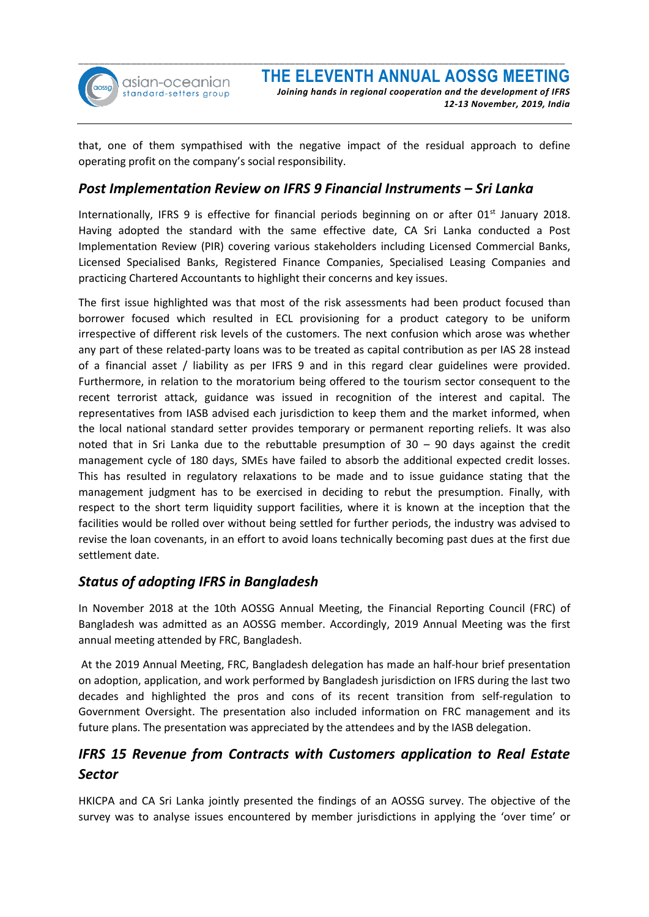

 *12-13 November, 2019, India*

that, one of them sympathised with the negative impact of the residual approach to define operating profit on the company's social responsibility.

### *Post Implementation Review on IFRS 9 Financial Instruments – Sri Lanka*

Internationally, IFRS 9 is effective for financial periods beginning on or after 01<sup>st</sup> January 2018. Having adopted the standard with the same effective date, CA Sri Lanka conducted a Post Implementation Review (PIR) covering various stakeholders including Licensed Commercial Banks, Licensed Specialised Banks, Registered Finance Companies, Specialised Leasing Companies and practicing Chartered Accountants to highlight their concerns and key issues.

The first issue highlighted was that most of the risk assessments had been product focused than borrower focused which resulted in ECL provisioning for a product category to be uniform irrespective of different risk levels of the customers. The next confusion which arose was whether any part of these related-party loans was to be treated as capital contribution as per IAS 28 instead of a financial asset / liability as per IFRS 9 and in this regard clear guidelines were provided. Furthermore, in relation to the moratorium being offered to the tourism sector consequent to the recent terrorist attack, guidance was issued in recognition of the interest and capital. The representatives from IASB advised each jurisdiction to keep them and the market informed, when the local national standard setter provides temporary or permanent reporting reliefs. It was also noted that in Sri Lanka due to the rebuttable presumption of 30 – 90 days against the credit management cycle of 180 days, SMEs have failed to absorb the additional expected credit losses. This has resulted in regulatory relaxations to be made and to issue guidance stating that the management judgment has to be exercised in deciding to rebut the presumption. Finally, with respect to the short term liquidity support facilities, where it is known at the inception that the facilities would be rolled over without being settled for further periods, the industry was advised to revise the loan covenants, in an effort to avoid loans technically becoming past dues at the first due settlement date.

## *Status of adopting IFRS in Bangladesh*

In November 2018 at the 10th AOSSG Annual Meeting, the Financial Reporting Council (FRC) of Bangladesh was admitted as an AOSSG member. Accordingly, 2019 Annual Meeting was the first annual meeting attended by FRC, Bangladesh.

At the 2019 Annual Meeting, FRC, Bangladesh delegation has made an half-hour brief presentation on adoption, application, and work performed by Bangladesh jurisdiction on IFRS during the last two decades and highlighted the pros and cons of its recent transition from self-regulation to Government Oversight. The presentation also included information on FRC management and its future plans. The presentation was appreciated by the attendees and by the IASB delegation.

# *IFRS 15 Revenue from Contracts with Customers application to Real Estate Sector*

HKICPA and CA Sri Lanka jointly presented the findings of an AOSSG survey. The objective of the survey was to analyse issues encountered by member jurisdictions in applying the 'over time' or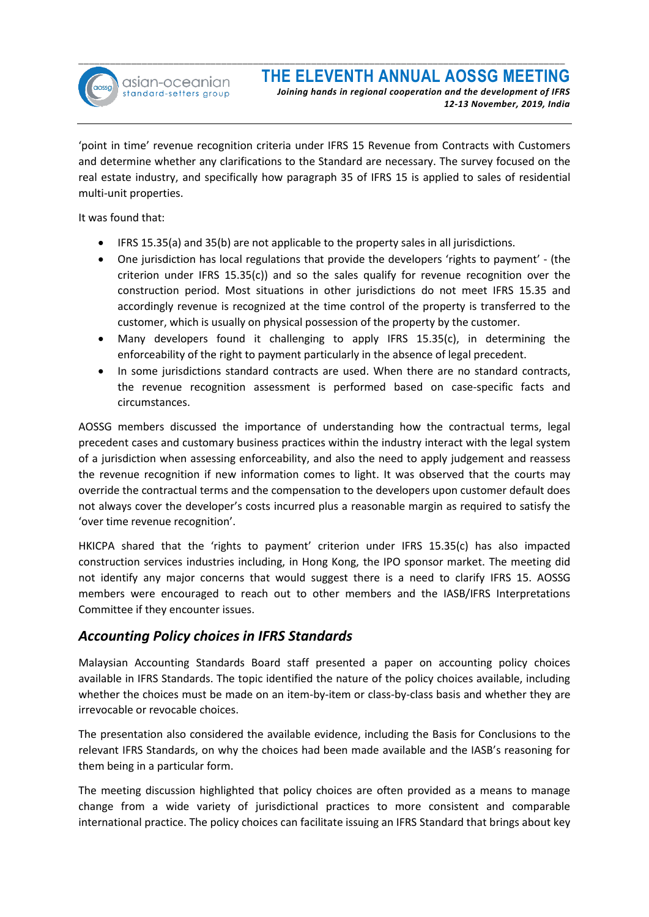

'point in time' revenue recognition criteria under IFRS 15 Revenue from Contracts with Customers and determine whether any clarifications to the Standard are necessary. The survey focused on the real estate industry, and specifically how paragraph 35 of IFRS 15 is applied to sales of residential multi-unit properties.

It was found that:

- IFRS 15.35(a) and 35(b) are not applicable to the property sales in all jurisdictions.
- One jurisdiction has local regulations that provide the developers 'rights to payment' (the criterion under IFRS 15.35(c)) and so the sales qualify for revenue recognition over the construction period. Most situations in other jurisdictions do not meet IFRS 15.35 and accordingly revenue is recognized at the time control of the property is transferred to the customer, which is usually on physical possession of the property by the customer.
- Many developers found it challenging to apply IFRS 15.35(c), in determining the enforceability of the right to payment particularly in the absence of legal precedent.
- In some jurisdictions standard contracts are used. When there are no standard contracts, the revenue recognition assessment is performed based on case-specific facts and circumstances.

AOSSG members discussed the importance of understanding how the contractual terms, legal precedent cases and customary business practices within the industry interact with the legal system of a jurisdiction when assessing enforceability, and also the need to apply judgement and reassess the revenue recognition if new information comes to light. It was observed that the courts may override the contractual terms and the compensation to the developers upon customer default does not always cover the developer's costs incurred plus a reasonable margin as required to satisfy the 'over time revenue recognition'.

HKICPA shared that the 'rights to payment' criterion under IFRS 15.35(c) has also impacted construction services industries including, in Hong Kong, the IPO sponsor market. The meeting did not identify any major concerns that would suggest there is a need to clarify IFRS 15. AOSSG members were encouraged to reach out to other members and the IASB/IFRS Interpretations Committee if they encounter issues.

## *Accounting Policy choices in IFRS Standards*

Malaysian Accounting Standards Board staff presented a paper on accounting policy choices available in IFRS Standards. The topic identified the nature of the policy choices available, including whether the choices must be made on an item-by-item or class-by-class basis and whether they are irrevocable or revocable choices.

The presentation also considered the available evidence, including the Basis for Conclusions to the relevant IFRS Standards, on why the choices had been made available and the IASB's reasoning for them being in a particular form.

The meeting discussion highlighted that policy choices are often provided as a means to manage change from a wide variety of jurisdictional practices to more consistent and comparable international practice. The policy choices can facilitate issuing an IFRS Standard that brings about key